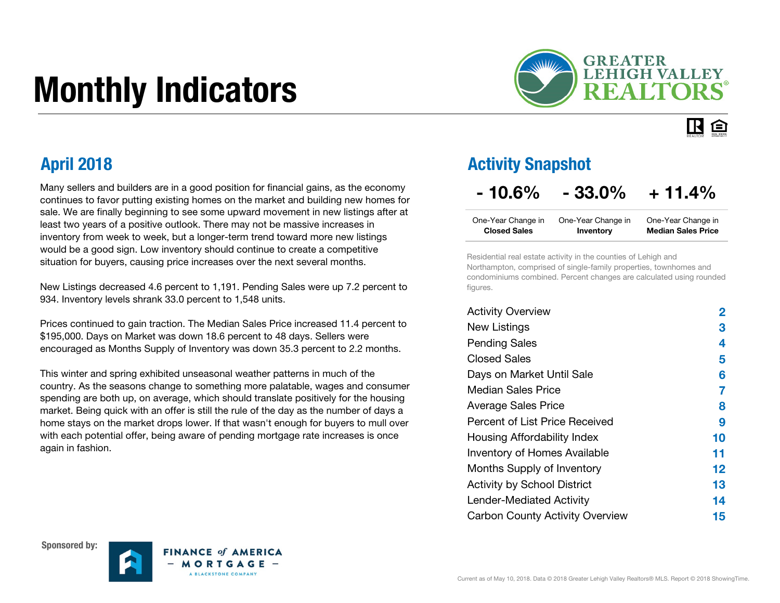# Monthly Indicators



#### IR. 臼

Many sellers and builders are in a good position for financial gains, as the economy continues to favor putting existing homes on the market and building new homes for sale. We are finally beginning to see some upward movement in new listings after at least two years of a positive outlook. There may not be massive increases in inventory from week to week, but a longer-term trend toward more new listings would be a good sign. Low inventory should continue to create a competitive situation for buyers, causing price increases over the next several months.

New Listings decreased 4.6 percent to 1,191. Pending Sales were up 7.2 percent to 934. Inventory levels shrank 33.0 percent to 1,548 units.

Prices continued to gain traction. The Median Sales Price increased 11.4 percent to \$195,000. Days on Market was down 18.6 percent to 48 days. Sellers were encouraged as Months Supply of Inventory was down 35.3 percent to 2.2 months.

This winter and spring exhibited unseasonal weather patterns in much of the country. As the seasons change to something more palatable, wages and consumer spending are both up, on average, which should translate positively for the housing market. Being quick with an offer is still the rule of the day as the number of days a home stays on the market drops lower. If that wasn't enough for buyers to mull over with each potential offer, being aware of pending mortgage rate increases is once again in fashion.

#### April 2018 Activity Snapshot

### $-10.6\% - 33.0\% + 11.4\%$

| One-Year Change in  | One-Year Change in | One-Year Change in        |
|---------------------|--------------------|---------------------------|
| <b>Closed Sales</b> | Inventory          | <b>Median Sales Price</b> |

Residential real estate activity in the counties of Lehigh and Northampton, comprised of single-family properties, townhomes and condominiums combined. Percent changes are calculated using rounded figures.

| <b>Activity Overview</b>               | 2       |
|----------------------------------------|---------|
| <b>New Listings</b>                    | З       |
| <b>Pending Sales</b>                   | 4       |
| <b>Closed Sales</b>                    | 5       |
| Days on Market Until Sale              | 6       |
| Median Sales Price                     | 7       |
| <b>Average Sales Price</b>             | 8       |
| Percent of List Price Received         | 9       |
| Housing Affordability Index            | 10      |
| <b>Inventory of Homes Available</b>    | 11      |
| Months Supply of Inventory             | $12 \,$ |
| <b>Activity by School District</b>     | 13      |
| Lender-Mediated Activity               | 14      |
| <b>Carbon County Activity Overview</b> | 15      |





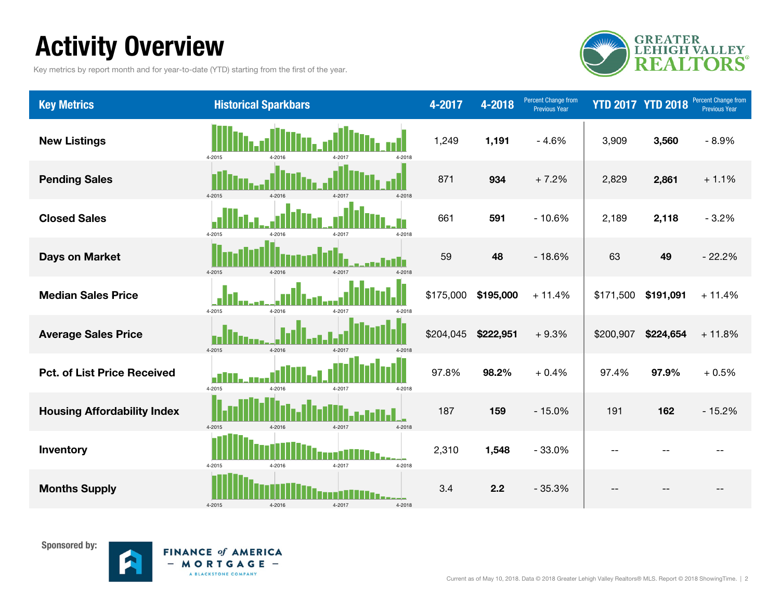### Activity Overview

Key metrics by report month and for year-to-date (YTD) starting from the first of the year.



| <b>Key Metrics</b>                 | <b>Historical Sparkbars</b>                  | 4-2017    | 4-2018    | Percent Change from<br><b>Previous Year</b> |           | <b>YTD 2017 YTD 2018</b> | <b>Percent Change from</b><br><b>Previous Year</b> |
|------------------------------------|----------------------------------------------|-----------|-----------|---------------------------------------------|-----------|--------------------------|----------------------------------------------------|
| <b>New Listings</b>                | 4-2018<br>4-2015<br>4-2016                   | 1,249     | 1,191     | $-4.6%$                                     | 3,909     | 3,560                    | $-8.9%$                                            |
| <b>Pending Sales</b>               | 4-2015<br>4-2016<br>4-2017<br>4-2018         | 871       | 934       | $+7.2%$                                     | 2,829     | 2,861                    | $+1.1%$                                            |
| <b>Closed Sales</b>                | 4-2015<br>4-2018<br>4-2016<br>4-2017         | 661       | 591       | $-10.6%$                                    | 2,189     | 2,118                    | $-3.2%$                                            |
| <b>Days on Market</b>              | $4 - 2015$<br>4-2016<br>4-2017<br>4-2018     | 59        | 48        | $-18.6%$                                    | 63        | 49                       | $-22.2%$                                           |
| <b>Median Sales Price</b>          | п<br>4-2015<br>4-2016<br>4-2017<br>4-2018    | \$175,000 | \$195,000 | $+11.4%$                                    | \$171,500 | \$191,091                | $+11.4%$                                           |
| <b>Average Sales Price</b>         | $4 - 2015$<br>$4 - 2016$<br>4-2017<br>4-2018 | \$204,045 | \$222,951 | $+9.3%$                                     | \$200,907 | \$224,654                | $+11.8%$                                           |
| <b>Pct. of List Price Received</b> | Ы<br>4-2015<br>4-2016<br>4-2017<br>4-2018    | 97.8%     | 98.2%     | $+0.4%$                                     | 97.4%     | 97.9%                    | $+0.5%$                                            |
| <b>Housing Affordability Index</b> | 4-2015<br>4-2016<br>4-2017<br>4-2018         | 187       | 159       | $-15.0%$                                    | 191       | 162                      | $-15.2%$                                           |
| Inventory                          | 4-2015<br>4-2018<br>4-2016<br>4-2017         | 2,310     | 1,548     | $-33.0%$                                    | $ -$      |                          |                                                    |
| <b>Months Supply</b>               | 4-2015<br>4-2017<br>4-2016<br>4-2018         | 3.4       | 2.2       | $-35.3%$                                    | --        |                          |                                                    |

Sponsored by:

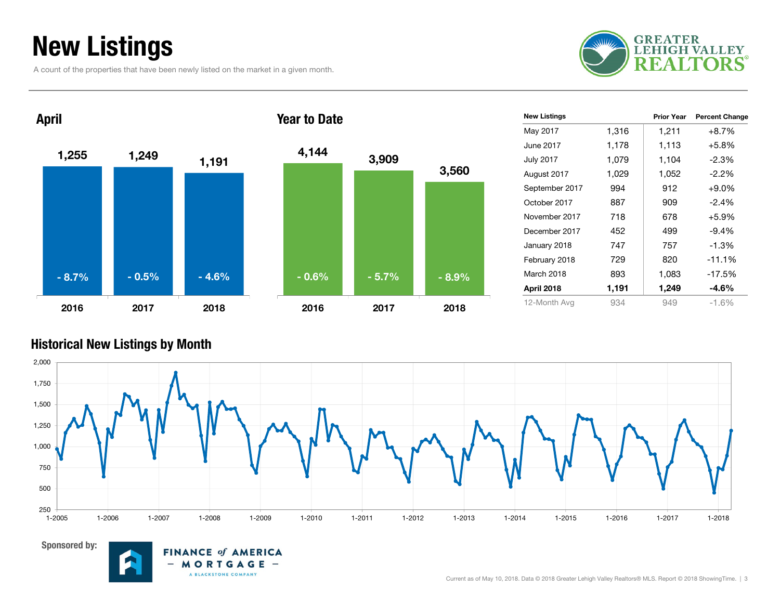### New Listings

A count of the properties that have been newly listed on the market in a given month.





| <b>New Listings</b> |       | <b>Prior Year</b> | <b>Percent Change</b> |
|---------------------|-------|-------------------|-----------------------|
| May 2017            | 1,316 | 1,211             | $+8.7%$               |
| June 2017           | 1,178 | 1,113             | $+5.8%$               |
| <b>July 2017</b>    | 1,079 | 1,104             | $-2.3%$               |
| August 2017         | 1,029 | 1,052             | $-2.2%$               |
| September 2017      | 994   | 912               | $+9.0\%$              |
| October 2017        | 887   | 909               | $-2.4\%$              |
| November 2017       | 718   | 678               | $+5.9%$               |
| December 2017       | 452   | 499               | $-9.4\%$              |
| January 2018        | 747   | 757               | $-1.3%$               |
| February 2018       | 729   | 820               | $-11.1%$              |
| March 2018          | 893   | 1,083             | $-17.5%$              |
| April 2018          | 1,191 | 1,249             | $-4.6\%$              |
| 12-Month Avg        | 934   | 949               | $-1.6%$               |

#### Historical New Listings by Month



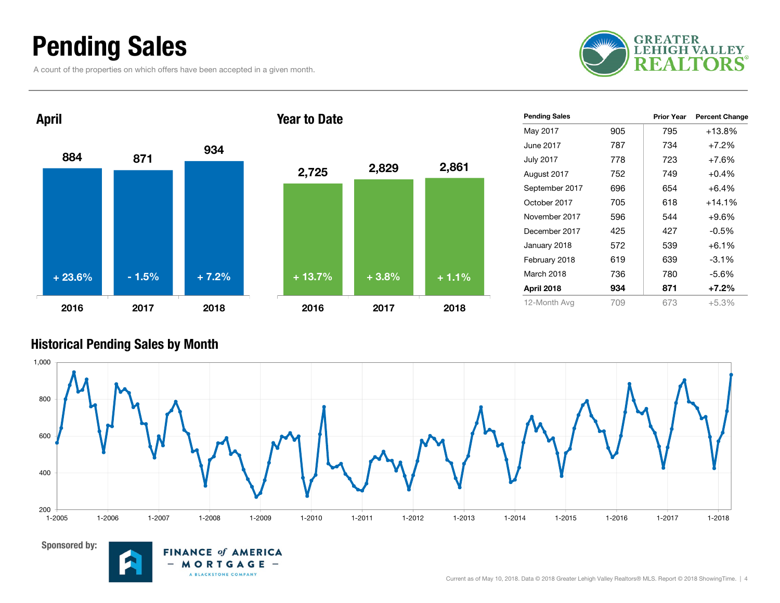### Pending Sales

A count of the properties on which offers have been accepted in a given month.





| <b>Pending Sales</b> |     | <b>Prior Year</b> | <b>Percent Change</b> |
|----------------------|-----|-------------------|-----------------------|
| May 2017             | 905 | 795               | $+13.8%$              |
| June 2017.           | 787 | 734               | $+7.2%$               |
| <b>July 2017</b>     | 778 | 723               | $+7.6%$               |
| August 2017          | 752 | 749               | $+0.4%$               |
| September 2017       | 696 | 654               | $+6.4%$               |
| October 2017         | 705 | 618               | $+14.1\%$             |
| November 2017        | 596 | 544               | $+9.6%$               |
| December 2017        | 425 | 427               | $-0.5%$               |
| January 2018         | 572 | 539               | $+6.1\%$              |
| February 2018        | 619 | 639               | $-3.1\%$              |
| March 2018           | 736 | 780               | -5.6%                 |
| April 2018           | 934 | 871               | $+7.2%$               |
| 12-Month Avg         | 709 | 673               | $+5.3%$               |

#### Historical Pending Sales by Month





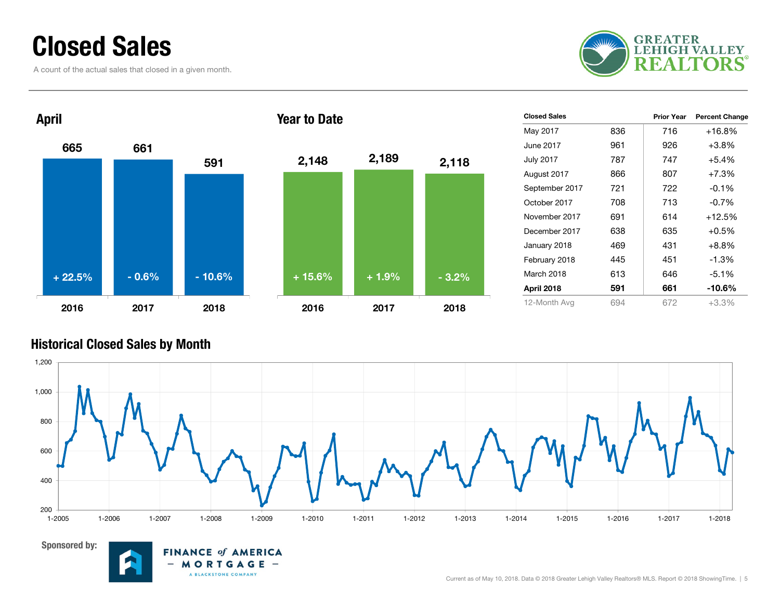### Closed Sales

A count of the actual sales that closed in a given month.





| <b>Closed Sales</b> |     | <b>Prior Year</b> | <b>Percent Change</b> |
|---------------------|-----|-------------------|-----------------------|
| May 2017            | 836 | 716               | $+16.8%$              |
| June 2017           | 961 | 926               | $+3.8\%$              |
| <b>July 2017</b>    | 787 | 747               | $+5.4%$               |
| August 2017         | 866 | 807               | $+7.3%$               |
| September 2017      | 721 | 722               | $-0.1%$               |
| October 2017        | 708 | 713               | $-0.7%$               |
| November 2017       | 691 | 614               | $+12.5%$              |
| December 2017       | 638 | 635               | $+0.5%$               |
| January 2018        | 469 | 431               | $+8.8%$               |
| February 2018       | 445 | 451               | $-1.3%$               |
| March 2018          | 613 | 646               | $-5.1%$               |
| April 2018          | 591 | 661               | $-10.6\%$             |
| 12-Month Avg        | 694 | 672               | $+3.3%$               |

#### Historical Closed Sales by Month





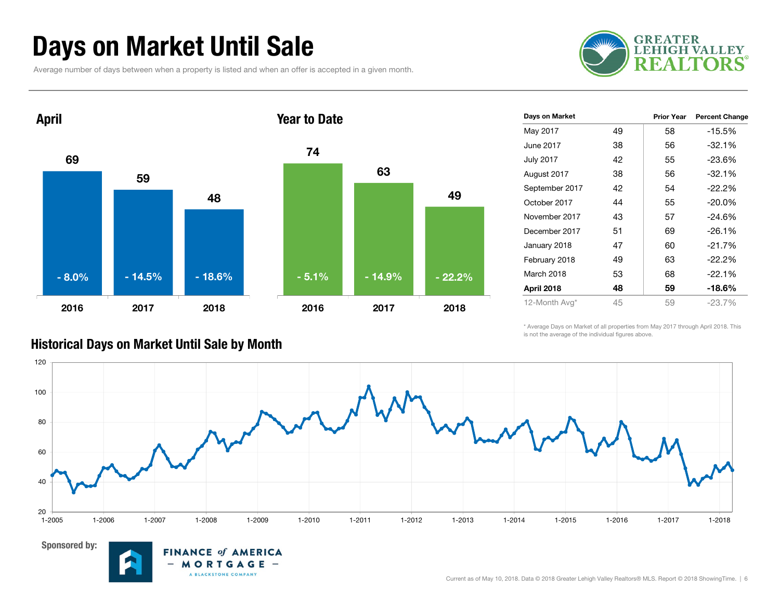### Days on Market Until Sale

Average number of days between when a property is listed and when an offer is accepted in a given month.

**FINANCE of AMERICA** MORTGAGE -A BLACKSTONE COMPANY





| Days on Market   |    | <b>Prior Year</b> | <b>Percent Change</b> |
|------------------|----|-------------------|-----------------------|
| May 2017         | 49 | 58                | $-15.5%$              |
| June 2017        | 38 | 56                | $-32.1%$              |
| <b>July 2017</b> | 42 | 55                | $-23.6%$              |
| August 2017      | 38 | 56                | $-32.1%$              |
| September 2017   | 42 | 54                | $-22.2%$              |
| October 2017     | 44 | 55                | $-20.0\%$             |
| November 2017    | 43 | 57                | $-24.6%$              |
| December 2017    | 51 | 69                | $-26.1%$              |
| January 2018     | 47 | 60                | $-21.7%$              |
| February 2018    | 49 | 63                | $-22.2%$              |
| March 2018       | 53 | 68                | $-22.1%$              |
| April 2018       | 48 | 59                | $-18.6\%$             |
| 12-Month Avg*    | 45 | 59                | $-23.7%$              |

\* Average Days on Market of all properties from May 2017 through April 2018. This is not the average of the individual figures above.



#### Historical Days on Market Until Sale by Month

Sponsored by:

Current as of May 10, 2018. Data © 2018 Greater Lehigh Valley Realtors® MLS. Report © 2018 ShowingTime. | 6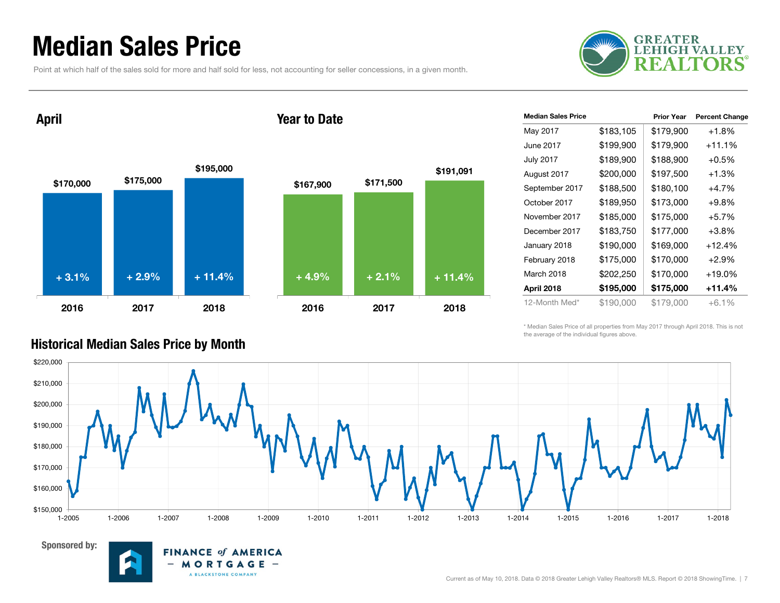### Median Sales Price

Point at which half of the sales sold for more and half sold for less, not accounting for seller concessions, in a given month.



April

Sponsored by:

#### Year to Date



**FINANCE of AMERICA** MORTGAGE -

A BLACKSTONE COMPANY

 $-$ 

| <b>Median Sales Price</b> |           | <b>Prior Year</b> | <b>Percent Change</b> |
|---------------------------|-----------|-------------------|-----------------------|
| May 2017                  | \$183,105 | \$179,900         | $+1.8%$               |
| June 2017                 | \$199,900 | \$179,900         | $+11.1%$              |
| <b>July 2017</b>          | \$189,900 | \$188,900         | $+0.5%$               |
| August 2017               | \$200,000 | \$197,500         | $+1.3%$               |
| September 2017            | \$188,500 | \$180,100         | $+4.7%$               |
| October 2017              | \$189,950 | \$173,000         | $+9.8\%$              |
| November 2017             | \$185,000 | \$175,000         | $+5.7%$               |
| December 2017             | \$183,750 | \$177,000         | $+3.8%$               |
| January 2018              | \$190,000 | \$169,000         | $+12.4%$              |
| February 2018             | \$175,000 | \$170,000         | $+2.9%$               |
| March 2018                | \$202,250 | \$170,000         | $+19.0%$              |
| April 2018                | \$195,000 | \$175,000         | +11.4%                |
| 12-Month Med*             | \$190,000 | \$179,000         | $+6.1\%$              |

\* Median Sales Price of all properties from May 2017 through April 2018. This is not the average of the individual figures above.



#### Historical Median Sales Price by Month

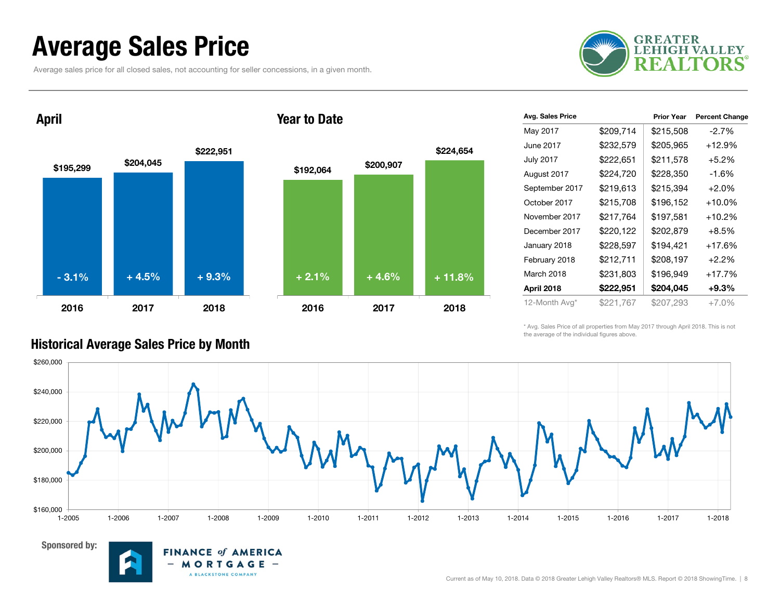### Average Sales Price

Average sales price for all closed sales, not accounting for seller concessions, in a given month.



April

Sponsored by:





**FINANCE of AMERICA** MORTGAGE -

A BLACKSTONE COMPANY

| Avg. Sales Price |           | <b>Prior Year</b> | <b>Percent Change</b> |
|------------------|-----------|-------------------|-----------------------|
| May 2017         | \$209,714 | \$215,508         | $-2.7%$               |
| June 2017        | \$232,579 | \$205,965         | $+12.9%$              |
| <b>July 2017</b> | \$222,651 | \$211,578         | $+5.2%$               |
| August 2017      | \$224,720 | \$228,350         | $-1.6%$               |
| September 2017   | \$219,613 | \$215,394         | $+2.0%$               |
| October 2017     | \$215,708 | \$196,152         | $+10.0\%$             |
| November 2017    | \$217,764 | \$197,581         | $+10.2%$              |
| December 2017    | \$220,122 | \$202,879         | $+8.5\%$              |
| January 2018     | \$228,597 | \$194,421         | $+17.6%$              |
| February 2018    | \$212,711 | \$208,197         | $+2.2%$               |
| March 2018       | \$231,803 | \$196,949         | $+17.7%$              |
| April 2018       | \$222,951 | \$204,045         | $+9.3\%$              |
| 12-Month Avg*    | \$221,767 | \$207,293         | $+7.0%$               |

\* Avg. Sales Price of all properties from May 2017 through April 2018. This is not the average of the individual figures above.



#### Historical Average Sales Price by Month

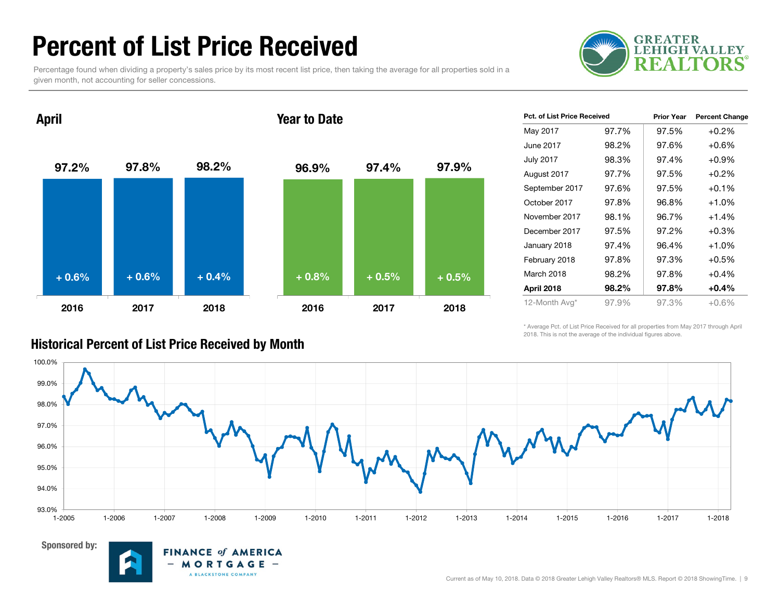### Percent of List Price Received

Percentage found when dividing a property's sales price by its most recent list price, then taking the average for all properties sold in a given month, not accounting for seller concessions.





| <b>Pct. of List Price Received</b> |       | <b>Prior Year</b> | <b>Percent Change</b> |
|------------------------------------|-------|-------------------|-----------------------|
| May 2017                           | 97.7% | 97.5%             | $+0.2%$               |
| June 2017                          | 98.2% | 97.6%             | $+0.6\%$              |
| <b>July 2017</b>                   | 98.3% | 97.4%             | $+0.9%$               |
| August 2017                        | 97.7% | 97.5%             | $+0.2%$               |
| September 2017                     | 97.6% | 97.5%             | $+0.1\%$              |
| October 2017                       | 97.8% | 96.8%             | $+1.0%$               |
| November 2017                      | 98.1% | 96.7%             | $+1.4%$               |
| December 2017                      | 97.5% | 97.2%             | $+0.3%$               |
| January 2018                       | 97.4% | 96.4%             | $+1.0%$               |
| February 2018                      | 97.8% | 97.3%             | $+0.5%$               |
| March 2018                         | 98.2% | 97.8%             | $+0.4%$               |
| April 2018                         | 98.2% | 97.8%             | $+0.4%$               |
| 12-Month Avg*                      | 97.9% | 97.3%             | +0.6%                 |

\* Average Pct. of List Price Received for all properties from May 2017 through April 2018. This is not the average of the individual figures above.





#### Historical Percent of List Price Received by Month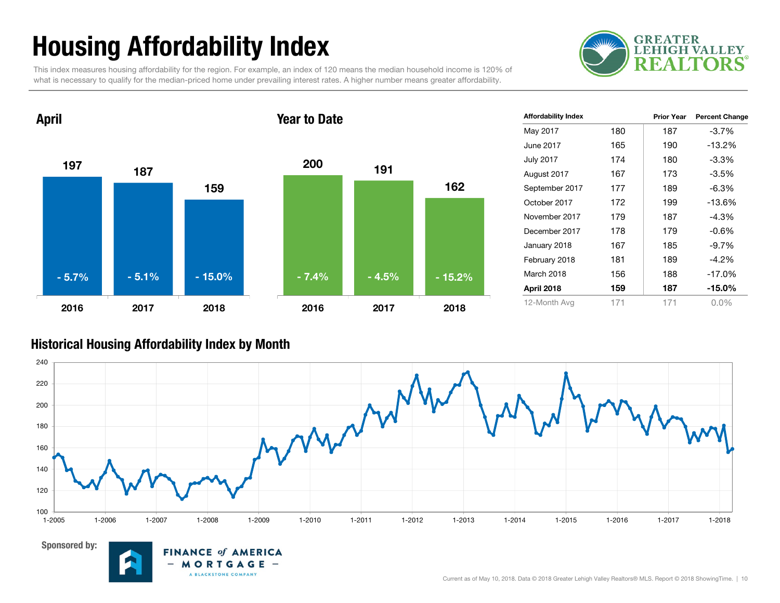## Housing Affordability Index

This index measures housing affordability for the region. For example, an index of 120 means the median household income is 120% of what is necessary to qualify for the median-priced home under prevailing interest rates. A higher number means greater affordability.





| <b>Affordability Index</b> |     | <b>Prior Year</b> | <b>Percent Change</b> |
|----------------------------|-----|-------------------|-----------------------|
| May 2017                   | 180 | 187               | -3.7%                 |
| June 2017                  | 165 | 190               | $-13.2%$              |
| <b>July 2017</b>           | 174 | 180               | $-3.3%$               |
| August 2017                | 167 | 173               | -3.5%                 |
| September 2017             | 177 | 189               | $-6.3%$               |
| October 2017               | 172 | 199               | $-13.6%$              |
| November 2017              | 179 | 187               | $-4.3%$               |
| December 2017              | 178 | 179               | $-0.6%$               |
| January 2018               | 167 | 185               | -9.7%                 |
| February 2018              | 181 | 189               | $-4.2\%$              |
| March 2018                 | 156 | 188               | $-17.0%$              |
| April 2018                 | 159 | 187               | $-15.0\%$             |
| 12-Month Avg               | 171 | 171               | $0.0\%$               |

#### Historical Housing Affordability Index by Mont h



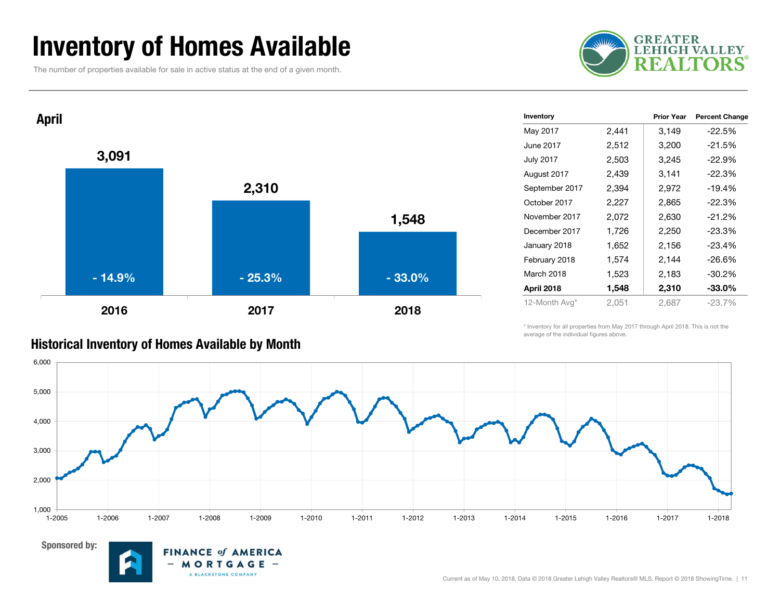### Inventory of Homes Available

The number of properties available for sale in active status at the end of a given month.





| Inventory        |       | <b>Prior Year</b> | <b>Percent Change</b> |
|------------------|-------|-------------------|-----------------------|
| May 2017         | 2,441 | 3,149             | $-22.5%$              |
| June 2017        | 2,512 | 3,200             | $-21.5%$              |
| <b>July 2017</b> | 2,503 | 3,245             | $-22.9%$              |
| August 2017      | 2,439 | 3,141             | $-22.3%$              |
| September 2017   | 2,394 | 2,972             | $-19.4%$              |
| October 2017     | 2,227 | 2,865             | $-22.3%$              |
| November 2017    | 2,072 | 2,630             | $-21.2%$              |
| December 2017    | 1,726 | 2,250             | $-23.3%$              |
| January 2018     | 1,652 | 2,156             | -23.4%                |
| February 2018    | 1,574 | 2,144             | $-26.6\%$             |
| March 2018       | 1,523 | 2,183             | $-30.2\%$             |
| April 2018       | 1,548 | 2,310             | $-33.0\%$             |
| 12-Month Avg*    | 2,051 | 2,687             | -23.7%                |

\* Inventory for all properties from May 2017 through April 2018. This is not the average of the individual figures above.





#### Historical Inventory of Homes Available by Month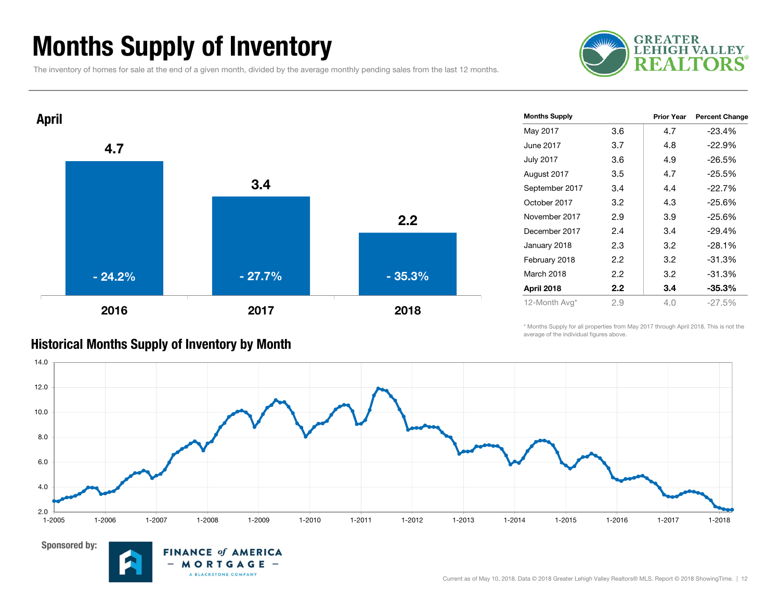### Months Supply of Inventory

The inventory of homes for sale at the end of a given month, divided by the average monthly pending sales from the last 12 months.





| <b>Months Supply</b> |         | <b>Prior Year</b> | <b>Percent Change</b> |
|----------------------|---------|-------------------|-----------------------|
| May 2017             | 3.6     | 4.7               | $-23.4%$              |
| June 2017            | 3.7     | 4.8               | $-22.9%$              |
| July 2017            | 3.6     | 4.9               | $-26.5%$              |
| August 2017          | 3.5     | 4.7               | $-25.5%$              |
| September 2017       | 3.4     | 4.4               | $-22.7%$              |
| October 2017         | 3.2     | 4.3               | $-25.6%$              |
| November 2017        | 2.9     | 3.9               | $-25.6%$              |
| December 2017        | 2.4     | 3.4               | $-29.4%$              |
| January 2018         | 2.3     | 3.2               | $-28.1%$              |
| February 2018        | $2.2\,$ | 3.2               | $-31.3%$              |
| March 2018           | 2.2     | 3.2               | $-31.3%$              |
| April 2018           | $2.2\,$ | 3.4               | $-35.3%$              |
| 12-Month Avg*        | 2.9     | 4.0               | -27.5%                |
|                      |         |                   |                       |

#### \* Months Supply for all properties from May 2017 through April 2018. This is not the average of the individual figures above.





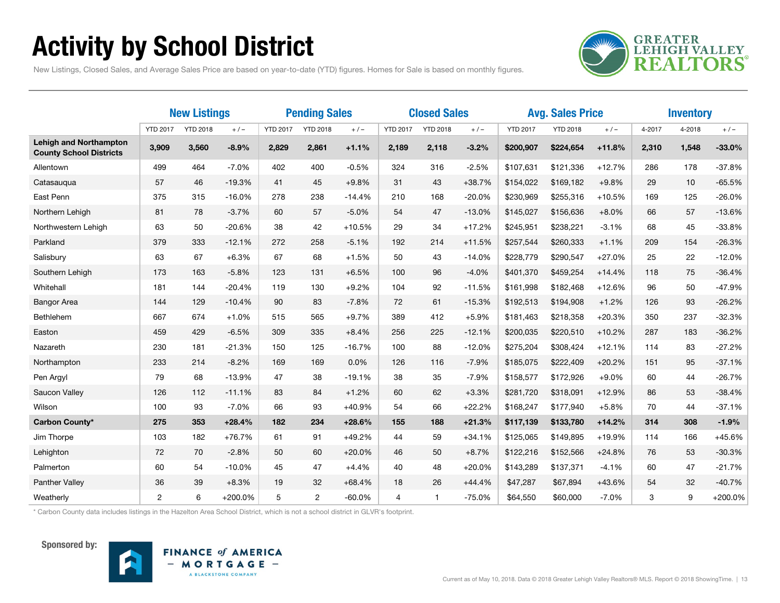### Activity by School District



New Listings, Closed Sales, and Average Sales Price are based on year-to-date (YTD) figures. Homes for Sale is based on monthly figures.

|                                                                 | <b>New Listings</b> |                 |           | <b>Pending Sales</b> |                 | <b>Closed Sales</b> |                 |                 | <b>Avg. Sales Price</b> |                 |                 | <b>Inventory</b> |        |        |           |
|-----------------------------------------------------------------|---------------------|-----------------|-----------|----------------------|-----------------|---------------------|-----------------|-----------------|-------------------------|-----------------|-----------------|------------------|--------|--------|-----------|
|                                                                 | <b>YTD 2017</b>     | <b>YTD 2018</b> | $+/-$     | <b>YTD 2017</b>      | <b>YTD 2018</b> | $+/-$               | <b>YTD 2017</b> | <b>YTD 2018</b> | $+/-$                   | <b>YTD 2017</b> | <b>YTD 2018</b> | $+/-$            | 4-2017 | 4-2018 | $+/-$     |
| <b>Lehigh and Northampton</b><br><b>County School Districts</b> | 3,909               | 3,560           | $-8.9%$   | 2,829                | 2,861           | $+1.1%$             | 2,189           | 2,118           | $-3.2%$                 | \$200,907       | \$224,654       | $+11.8%$         | 2,310  | 1,548  | $-33.0%$  |
| Allentown                                                       | 499                 | 464             | $-7.0%$   | 402                  | 400             | $-0.5%$             | 324             | 316             | $-2.5%$                 | \$107,631       | \$121,336       | $+12.7%$         | 286    | 178    | $-37.8%$  |
| Catasaugua                                                      | 57                  | 46              | $-19.3%$  | 41                   | 45              | $+9.8%$             | 31              | 43              | $+38.7%$                | \$154,022       | \$169,182       | $+9.8%$          | 29     | 10     | $-65.5%$  |
| East Penn                                                       | 375                 | 315             | $-16.0%$  | 278                  | 238             | $-14.4%$            | 210             | 168             | $-20.0%$                | \$230,969       | \$255,316       | $+10.5%$         | 169    | 125    | $-26.0%$  |
| Northern Lehigh                                                 | 81                  | 78              | $-3.7%$   | 60                   | 57              | $-5.0%$             | 54              | 47              | $-13.0%$                | \$145,027       | \$156,636       | $+8.0%$          | 66     | 57     | $-13.6%$  |
| Northwestern Lehigh                                             | 63                  | 50              | $-20.6%$  | 38                   | 42              | $+10.5%$            | 29              | 34              | $+17.2%$                | \$245,951       | \$238,221       | $-3.1%$          | 68     | 45     | $-33.8%$  |
| Parkland                                                        | 379                 | 333             | $-12.1%$  | 272                  | 258             | $-5.1%$             | 192             | 214             | $+11.5%$                | \$257,544       | \$260,333       | $+1.1%$          | 209    | 154    | $-26.3%$  |
| Salisbury                                                       | 63                  | 67              | $+6.3%$   | 67                   | 68              | $+1.5%$             | 50              | 43              | $-14.0%$                | \$228,779       | \$290,547       | $+27.0%$         | 25     | 22     | $-12.0%$  |
| Southern Lehigh                                                 | 173                 | 163             | $-5.8%$   | 123                  | 131             | $+6.5%$             | 100             | 96              | $-4.0%$                 | \$401,370       | \$459,254       | $+14.4%$         | 118    | 75     | $-36.4%$  |
| Whitehall                                                       | 181                 | 144             | $-20.4%$  | 119                  | 130             | $+9.2%$             | 104             | 92              | $-11.5%$                | \$161,998       | \$182,468       | $+12.6%$         | 96     | 50     | $-47.9%$  |
| <b>Bangor Area</b>                                              | 144                 | 129             | $-10.4%$  | 90                   | 83              | $-7.8%$             | 72              | 61              | $-15.3%$                | \$192,513       | \$194,908       | $+1.2%$          | 126    | 93     | $-26.2%$  |
| Bethlehem                                                       | 667                 | 674             | $+1.0%$   | 515                  | 565             | $+9.7%$             | 389             | 412             | $+5.9%$                 | \$181,463       | \$218,358       | $+20.3%$         | 350    | 237    | $-32.3%$  |
| Easton                                                          | 459                 | 429             | $-6.5%$   | 309                  | 335             | $+8.4%$             | 256             | 225             | $-12.1%$                | \$200,035       | \$220,510       | $+10.2%$         | 287    | 183    | $-36.2%$  |
| Nazareth                                                        | 230                 | 181             | $-21.3%$  | 150                  | 125             | $-16.7%$            | 100             | 88              | $-12.0%$                | \$275,204       | \$308,424       | $+12.1%$         | 114    | 83     | $-27.2%$  |
| Northampton                                                     | 233                 | 214             | $-8.2%$   | 169                  | 169             | 0.0%                | 126             | 116             | $-7.9%$                 | \$185,075       | \$222,409       | $+20.2%$         | 151    | 95     | $-37.1%$  |
| Pen Argyl                                                       | 79                  | 68              | $-13.9%$  | 47                   | 38              | $-19.1%$            | 38              | 35              | $-7.9%$                 | \$158,577       | \$172,926       | $+9.0%$          | 60     | 44     | $-26.7%$  |
| Saucon Valley                                                   | 126                 | 112             | $-11.1%$  | 83                   | 84              | $+1.2%$             | 60              | 62              | $+3.3%$                 | \$281,720       | \$318,091       | $+12.9%$         | 86     | 53     | $-38.4%$  |
| Wilson                                                          | 100                 | 93              | $-7.0%$   | 66                   | 93              | $+40.9%$            | 54              | 66              | $+22.2%$                | \$168,247       | \$177,940       | $+5.8%$          | 70     | 44     | $-37.1%$  |
| Carbon County*                                                  | 275                 | 353             | $+28.4%$  | 182                  | 234             | $+28.6%$            | 155             | 188             | $+21.3%$                | \$117,139       | \$133,780       | $+14.2%$         | 314    | 308    | $-1.9%$   |
| Jim Thorpe                                                      | 103                 | 182             | $+76.7%$  | 61                   | 91              | $+49.2%$            | 44              | 59              | $+34.1%$                | \$125,065       | \$149,895       | $+19.9%$         | 114    | 166    | $+45.6%$  |
| Lehighton                                                       | 72                  | 70              | $-2.8%$   | 50                   | 60              | $+20.0%$            | 46              | 50              | $+8.7%$                 | \$122,216       | \$152,566       | $+24.8%$         | 76     | 53     | $-30.3%$  |
| Palmerton                                                       | 60                  | 54              | $-10.0%$  | 45                   | 47              | $+4.4%$             | 40              | 48              | $+20.0%$                | \$143,289       | \$137,371       | $-4.1%$          | 60     | 47     | $-21.7%$  |
| Panther Valley                                                  | 36                  | 39              | $+8.3%$   | 19                   | 32              | $+68.4%$            | 18              | 26              | $+44.4%$                | \$47,287        | \$67,894        | $+43.6%$         | 54     | 32     | $-40.7%$  |
| Weatherly                                                       | 2                   | 6               | $+200.0%$ | 5                    | 2               | $-60.0\%$           | $\overline{4}$  | $\mathbf{1}$    | $-75.0%$                | \$64,550        | \$60,000        | $-7.0%$          | 3      | 9      | $+200.0%$ |

\* Carbon County data includes listings in the Hazelton Area School District, which is not a school district in GLVR's footprint.



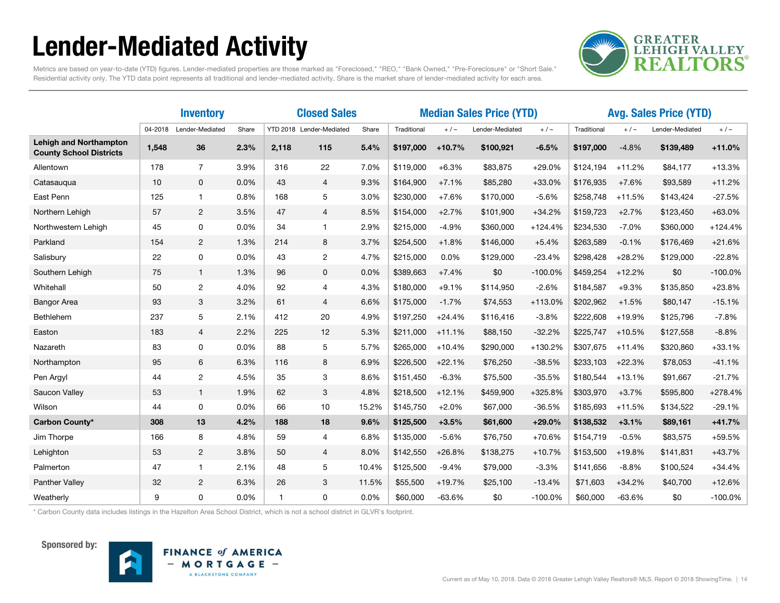### Lender-Mediated Activity



Metrics are based on year-to-date (YTD) figures. Lender-mediated properties are those marked as "Foreclosed," "REO," "Bank Owned," "Pre-Foreclosure" or "Short Sale." Residential activity only. The YTD data point represents all traditional and lender-mediated activity. Share is the market share of lender-mediated activity for each area.

|                                                                 |         | <b>Inventory</b> |       | <b>Closed Sales</b>      |                       |       | <b>Median Sales Price (YTD)</b> |          |                 |           | <b>Avg. Sales Price (YTD)</b> |          |                 |           |
|-----------------------------------------------------------------|---------|------------------|-------|--------------------------|-----------------------|-------|---------------------------------|----------|-----------------|-----------|-------------------------------|----------|-----------------|-----------|
|                                                                 | 04-2018 | Lender-Mediated  | Share | YTD 2018 Lender-Mediated |                       | Share | Traditional                     | $+/-$    | Lender-Mediated | $+/-$     | Traditional                   | $+/-$    | Lender-Mediated | $+/-$     |
| <b>Lehigh and Northampton</b><br><b>County School Districts</b> | 1,548   | 36               | 2.3%  | 2,118                    | 115                   | 5.4%  | \$197,000                       | $+10.7%$ | \$100,921       | $-6.5%$   | \$197,000                     | $-4.8%$  | \$139,489       | $+11.0%$  |
| Allentown                                                       | 178     | $\overline{7}$   | 3.9%  | 316                      | 22                    | 7.0%  | \$119,000                       | $+6.3%$  | \$83,875        | $+29.0%$  | \$124,194                     | $+11.2%$ | \$84,177        | $+13.3%$  |
| Catasauqua                                                      | 10      | $\mathbf 0$      | 0.0%  | 43                       | $\overline{4}$        | 9.3%  | \$164,900                       | $+7.1%$  | \$85,280        | $+33.0%$  | \$176,935                     | $+7.6%$  | \$93,589        | $+11.2%$  |
| East Penn                                                       | 125     | $\mathbf{1}$     | 0.8%  | 168                      | 5                     | 3.0%  | \$230,000                       | $+7.6%$  | \$170,000       | $-5.6%$   | \$258,748                     | $+11.5%$ | \$143,424       | $-27.5%$  |
| Northern Lehigh                                                 | 57      | $\overline{2}$   | 3.5%  | 47                       | 4                     | 8.5%  | \$154,000                       | $+2.7%$  | \$101,900       | $+34.2%$  | \$159,723                     | $+2.7%$  | \$123,450       | $+63.0%$  |
| Northwestern Lehigh                                             | 45      | 0                | 0.0%  | 34                       | $\mathbf{1}$          | 2.9%  | \$215,000                       | $-4.9%$  | \$360,000       | $+124.4%$ | \$234,530                     | $-7.0%$  | \$360,000       | $+124.4%$ |
| Parkland                                                        | 154     | $\overline{2}$   | 1.3%  | 214                      | 8                     | 3.7%  | \$254,500                       | $+1.8%$  | \$146,000       | $+5.4%$   | \$263,589                     | $-0.1%$  | \$176,469       | $+21.6%$  |
| Salisbury                                                       | 22      | 0                | 0.0%  | 43                       | $\mathbf{2}^{\prime}$ | 4.7%  | \$215,000                       | 0.0%     | \$129,000       | $-23.4%$  | \$298,428                     | $+28.2%$ | \$129,000       | $-22.8%$  |
| Southern Lehigh                                                 | 75      | $\mathbf{1}$     | 1.3%  | 96                       | $\mathbf 0$           | 0.0%  | \$389,663                       | $+7.4%$  | \$0             | $-100.0%$ | \$459,254                     | $+12.2%$ | \$0             | $-100.0%$ |
| Whitehall                                                       | 50      | 2                | 4.0%  | 92                       | 4                     | 4.3%  | \$180,000                       | $+9.1%$  | \$114,950       | $-2.6%$   | \$184,587                     | $+9.3%$  | \$135,850       | $+23.8%$  |
| <b>Bangor Area</b>                                              | 93      | 3                | 3.2%  | 61                       | $\overline{4}$        | 6.6%  | \$175,000                       | $-1.7%$  | \$74,553        | +113.0%   | \$202,962                     | $+1.5%$  | \$80,147        | $-15.1%$  |
| Bethlehem                                                       | 237     | 5                | 2.1%  | 412                      | 20                    | 4.9%  | \$197,250                       | $+24.4%$ | \$116,416       | $-3.8%$   | \$222,608                     | +19.9%   | \$125,796       | $-7.8%$   |
| Easton                                                          | 183     | $\overline{4}$   | 2.2%  | 225                      | 12                    | 5.3%  | \$211,000                       | $+11.1%$ | \$88,150        | $-32.2%$  | \$225,747                     | $+10.5%$ | \$127,558       | $-8.8%$   |
| Nazareth                                                        | 83      | 0                | 0.0%  | 88                       | 5                     | 5.7%  | \$265,000                       | $+10.4%$ | \$290,000       | +130.2%   | \$307,675                     | $+11.4%$ | \$320,860       | $+33.1%$  |
| Northampton                                                     | 95      | 6                | 6.3%  | 116                      | 8                     | 6.9%  | \$226,500                       | $+22.1%$ | \$76,250        | $-38.5%$  | \$233,103                     | $+22.3%$ | \$78,053        | $-41.1%$  |
| Pen Argyl                                                       | 44      | $\overline{2}$   | 4.5%  | 35                       | 3                     | 8.6%  | \$151,450                       | $-6.3%$  | \$75,500        | $-35.5%$  | \$180,544                     | $+13.1%$ | \$91,667        | $-21.7%$  |
| Saucon Valley                                                   | 53      | $\mathbf{1}$     | 1.9%  | 62                       | 3                     | 4.8%  | \$218,500                       | $+12.1%$ | \$459,900       | +325.8%   | \$303,970                     | $+3.7%$  | \$595,800       | $+278.4%$ |
| Wilson                                                          | 44      | 0                | 0.0%  | 66                       | 10                    | 15.2% | \$145,750                       | $+2.0%$  | \$67,000        | $-36.5%$  | \$185,693                     | $+11.5%$ | \$134,522       | $-29.1%$  |
| <b>Carbon County*</b>                                           | 308     | 13               | 4.2%  | 188                      | 18                    | 9.6%  | \$125,500                       | $+3.5%$  | \$61,600        | $+29.0%$  | \$138,532                     | $+3.1%$  | \$89,161        | $+41.7%$  |
| Jim Thorpe                                                      | 166     | 8                | 4.8%  | 59                       | 4                     | 6.8%  | \$135,000                       | $-5.6%$  | \$76,750        | $+70.6%$  | \$154,719                     | $-0.5%$  | \$83,575        | +59.5%    |
| Lehighton                                                       | 53      | $\overline{2}$   | 3.8%  | 50                       | $\overline{4}$        | 8.0%  | \$142,550                       | $+26.8%$ | \$138,275       | $+10.7%$  | \$153,500                     | $+19.8%$ | \$141,831       | $+43.7%$  |
| Palmerton                                                       | 47      | $\mathbf{1}$     | 2.1%  | 48                       | 5                     | 10.4% | \$125,500                       | $-9.4%$  | \$79,000        | $-3.3%$   | \$141,656                     | $-8.8%$  | \$100,524       | $+34.4%$  |
| <b>Panther Valley</b>                                           | 32      | $\overline{2}$   | 6.3%  | 26                       | 3                     | 11.5% | \$55,500                        | $+19.7%$ | \$25,100        | $-13.4%$  | \$71,603                      | $+34.2%$ | \$40,700        | $+12.6%$  |
| Weatherly                                                       | 9       | 0                | 0.0%  | $\mathbf{1}$             | 0                     | 0.0%  | \$60,000                        | $-63.6%$ | \$0             | $-100.0%$ | \$60,000                      | $-63.6%$ | \$0             | $-100.0%$ |

\* Carbon County data includes listings in the Hazelton Area School District, which is not a school district in GLVR's footprint.